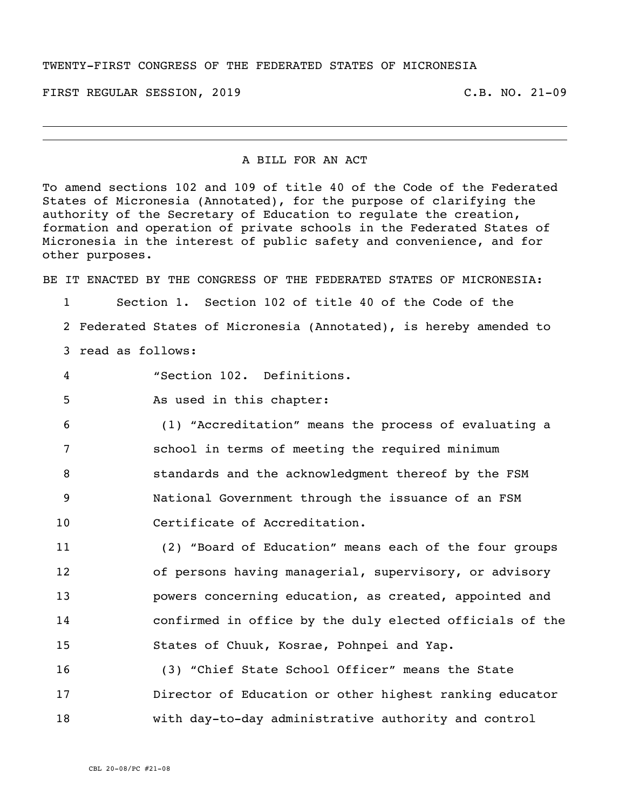## TWENTY-FIRST CONGRESS OF THE FEDERATED STATES OF MICRONESIA

FIRST REGULAR SESSION, 2019 C.B. NO. 21-09

## A BILL FOR AN ACT

To amend sections 102 and 109 of title 40 of the Code of the Federated States of Micronesia (Annotated), for the purpose of clarifying the authority of the Secretary of Education to regulate the creation, formation and operation of private schools in the Federated States of Micronesia in the interest of public safety and convenience, and for other purposes.

BE IT ENACTED BY THE CONGRESS OF THE FEDERATED STATES OF MICRONESIA:

- Section 1. Section 102 of title 40 of the Code of the Federated States of Micronesia (Annotated), is hereby amended to read as follows:
- "Section 102. Definitions.
- As used in this chapter:
- (1) "Accreditation" means the process of evaluating a school in terms of meeting the required minimum standards and the acknowledgment thereof by the FSM National Government through the issuance of an FSM Certificate of Accreditation.
- (2) "Board of Education" means each of the four groups of persons having managerial, supervisory, or advisory powers concerning education, as created, appointed and confirmed in office by the duly elected officials of the States of Chuuk, Kosrae, Pohnpei and Yap.

 (3) "Chief State School Officer" means the State Director of Education or other highest ranking educator with day-to-day administrative authority and control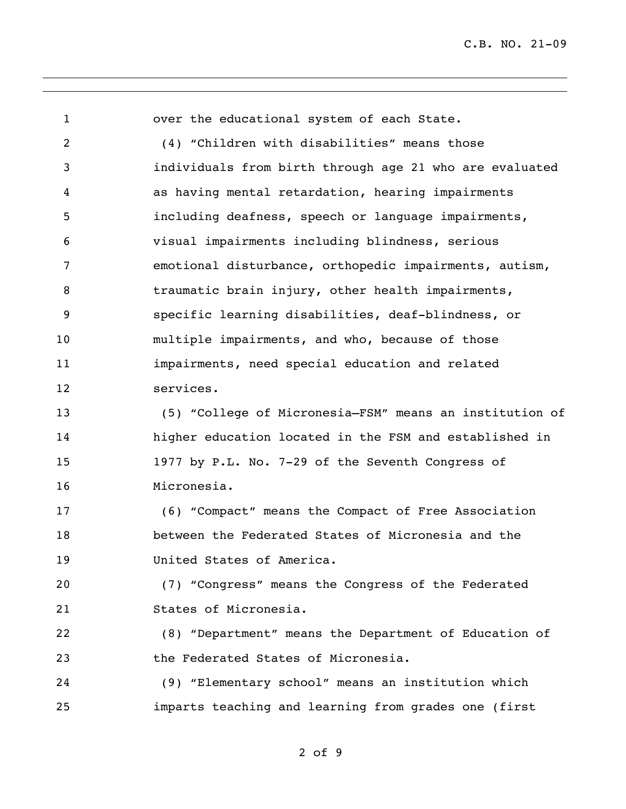over the educational system of each State. (4) "Children with disabilities" means those individuals from birth through age 21 who are evaluated as having mental retardation, hearing impairments including deafness, speech or language impairments, visual impairments including blindness, serious emotional disturbance, orthopedic impairments, autism, 8 traumatic brain injury, other health impairments, specific learning disabilities, deaf-blindness, or multiple impairments, and who, because of those impairments, need special education and related services. (5) "College of Micronesia—FSM" means an institution of higher education located in the FSM and established in 1977 by P.L. No. 7-29 of the Seventh Congress of Micronesia. (6) "Compact" means the Compact of Free Association between the Federated States of Micronesia and the United States of America. (7) "Congress" means the Congress of the Federated States of Micronesia. (8) "Department" means the Department of Education of the Federated States of Micronesia. (9) "Elementary school" means an institution which imparts teaching and learning from grades one (first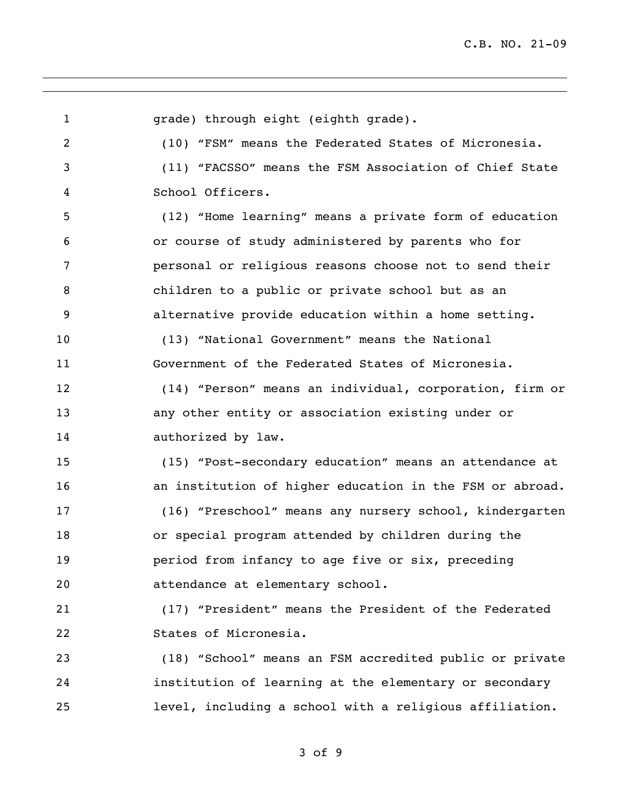1 grade) through eight (eighth grade). (10) "FSM" means the Federated States of Micronesia. (11) "FACSSO" means the FSM Association of Chief State School Officers. (12) "Home learning" means a private form of education or course of study administered by parents who for personal or religious reasons choose not to send their children to a public or private school but as an alternative provide education within a home setting. (13) "National Government" means the National Government of the Federated States of Micronesia. (14) "Person" means an individual, corporation, firm or any other entity or association existing under or 14 authorized by law. (15) "Post-secondary education" means an attendance at an institution of higher education in the FSM or abroad. (16) "Preschool" means any nursery school, kindergarten or special program attended by children during the period from infancy to age five or six, preceding attendance at elementary school. (17) "President" means the President of the Federated States of Micronesia. (18) "School" means an FSM accredited public or private institution of learning at the elementary or secondary level, including a school with a religious affiliation.

of 9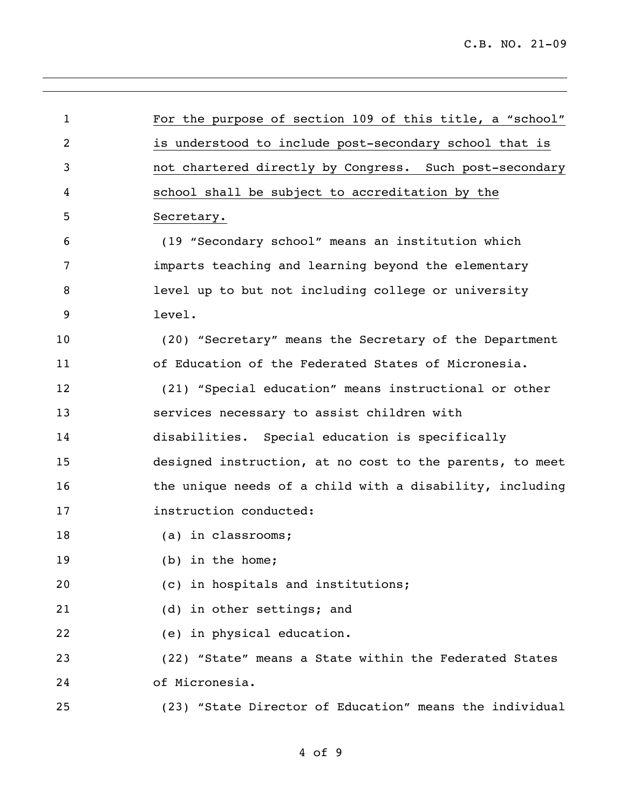For the purpose of section 109 of this title, a "school" is understood to include post-secondary school that is not chartered directly by Congress. Such post-secondary school shall be subject to accreditation by the Secretary. (19 "Secondary school" means an institution which imparts teaching and learning beyond the elementary level up to but not including college or university level. (20) "Secretary" means the Secretary of the Department of Education of the Federated States of Micronesia. (21) "Special education" means instructional or other services necessary to assist children with disabilities. Special education is specifically designed instruction, at no cost to the parents, to meet 16 the unique needs of a child with a disability, including **instruction conducted:** 18 (a) in classrooms; (b) in the home; (c) in hospitals and institutions; (d) in other settings; and (e) in physical education. (22) "State" means a State within the Federated States of Micronesia. (23) "State Director of Education" means the individual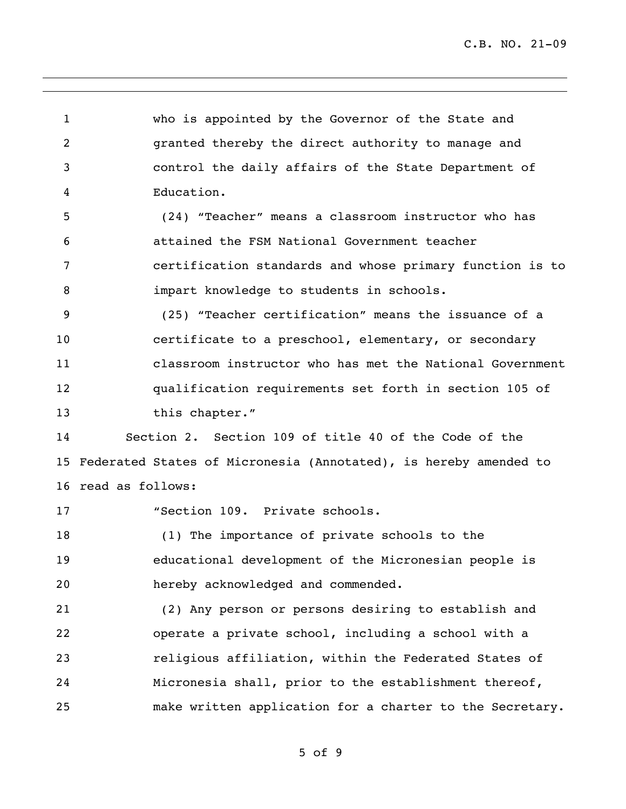C.B. NO. 21-09

 who is appointed by the Governor of the State and granted thereby the direct authority to manage and control the daily affairs of the State Department of Education.

 (24) "Teacher" means a classroom instructor who has attained the FSM National Government teacher certification standards and whose primary function is to impart knowledge to students in schools.

 (25) "Teacher certification" means the issuance of a certificate to a preschool, elementary, or secondary classroom instructor who has met the National Government qualification requirements set forth in section 105 of 13 this chapter."

 Section 2. Section 109 of title 40 of the Code of the Federated States of Micronesia (Annotated), is hereby amended to read as follows:

"Section 109. Private schools.

 (1) The importance of private schools to the educational development of the Micronesian people is hereby acknowledged and commended.

 (2) Any person or persons desiring to establish and operate a private school, including a school with a religious affiliation, within the Federated States of Micronesia shall, prior to the establishment thereof, make written application for a charter to the Secretary.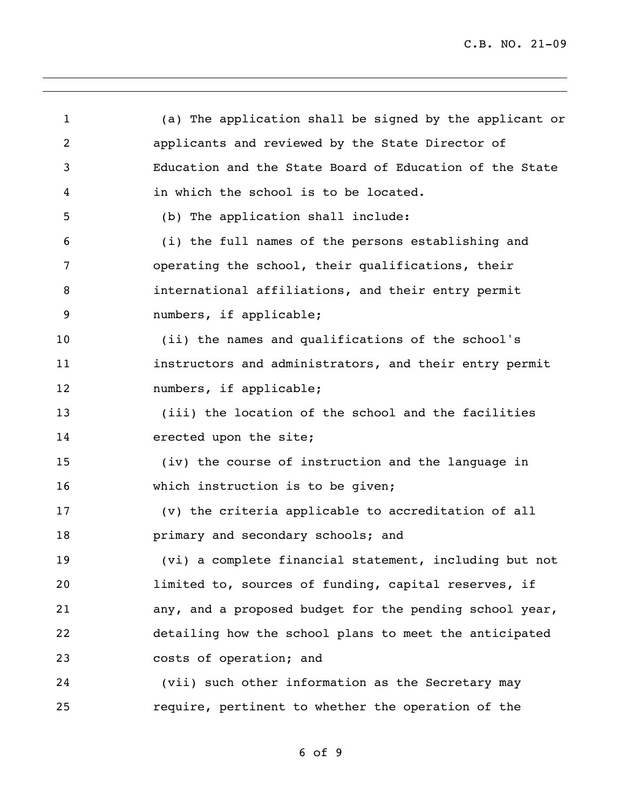(a) The application shall be signed by the applicant or applicants and reviewed by the State Director of Education and the State Board of Education of the State in which the school is to be located. (b) The application shall include: (i) the full names of the persons establishing and operating the school, their qualifications, their international affiliations, and their entry permit numbers, if applicable; (ii) the names and qualifications of the school's instructors and administrators, and their entry permit 12 numbers, if applicable; (iii) the location of the school and the facilities 14 erected upon the site; (iv) the course of instruction and the language in 16 which instruction is to be given; (v) the criteria applicable to accreditation of all **primary and secondary schools; and**  (vi) a complete financial statement, including but not limited to, sources of funding, capital reserves, if any, and a proposed budget for the pending school year, detailing how the school plans to meet the anticipated costs of operation; and (vii) such other information as the Secretary may require, pertinent to whether the operation of the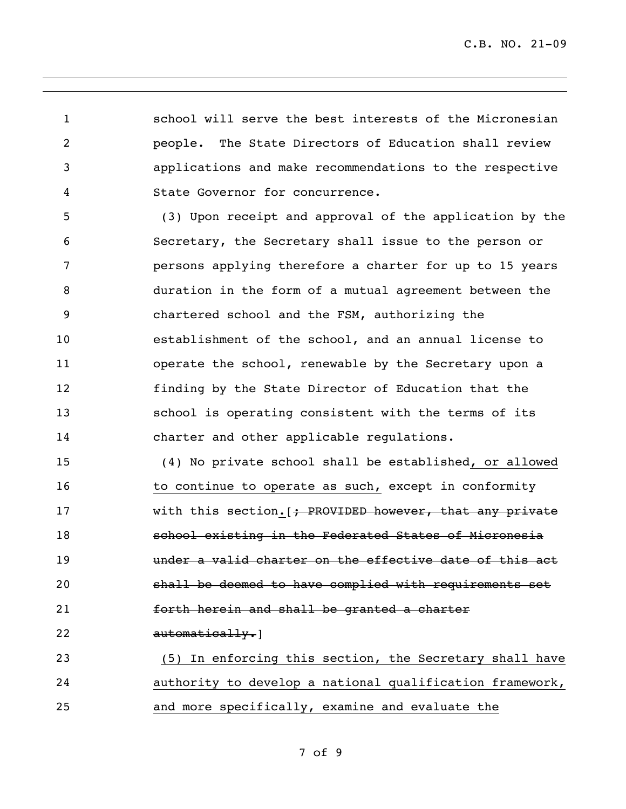school will serve the best interests of the Micronesian people. The State Directors of Education shall review applications and make recommendations to the respective State Governor for concurrence.

 (3) Upon receipt and approval of the application by the Secretary, the Secretary shall issue to the person or persons applying therefore a charter for up to 15 years duration in the form of a mutual agreement between the chartered school and the FSM, authorizing the establishment of the school, and an annual license to operate the school, renewable by the Secretary upon a finding by the State Director of Education that the school is operating consistent with the terms of its charter and other applicable regulations.

 (4) No private school shall be established, or allowed 16 to continue to operate as such, except in conformity 17 with this section. [ : PROVIDED however, that any private **School existing in the Federated States of Micronesia**  under a valid charter on the effective date of this act shall be deemed to have complied with requirements set forth herein and shall be granted a charter

22 automatically.

 (5) In enforcing this section, the Secretary shall have authority to develop a national qualification framework, and more specifically, examine and evaluate the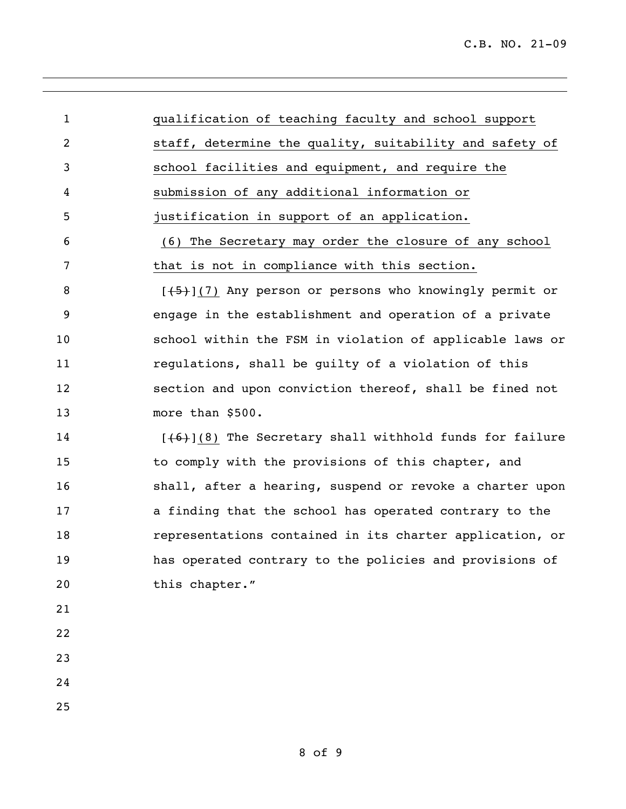qualification of teaching faculty and school support staff, determine the quality, suitability and safety of school facilities and equipment, and require the submission of any additional information or justification in support of an application. (6) The Secretary may order the closure of any school that is not in compliance with this section.  $\left[\frac{5}{5}\right]$  (7) Any person or persons who knowingly permit or engage in the establishment and operation of a private school within the FSM in violation of applicable laws or regulations, shall be guilty of a violation of this section and upon conviction thereof, shall be fined not 13 more than \$500.  $[(6)$   $(8)$  The Secretary shall withhold funds for failure to comply with the provisions of this chapter, and shall, after a hearing, suspend or revoke a charter upon a finding that the school has operated contrary to the representations contained in its charter application, or has operated contrary to the policies and provisions of 20 this chapter."